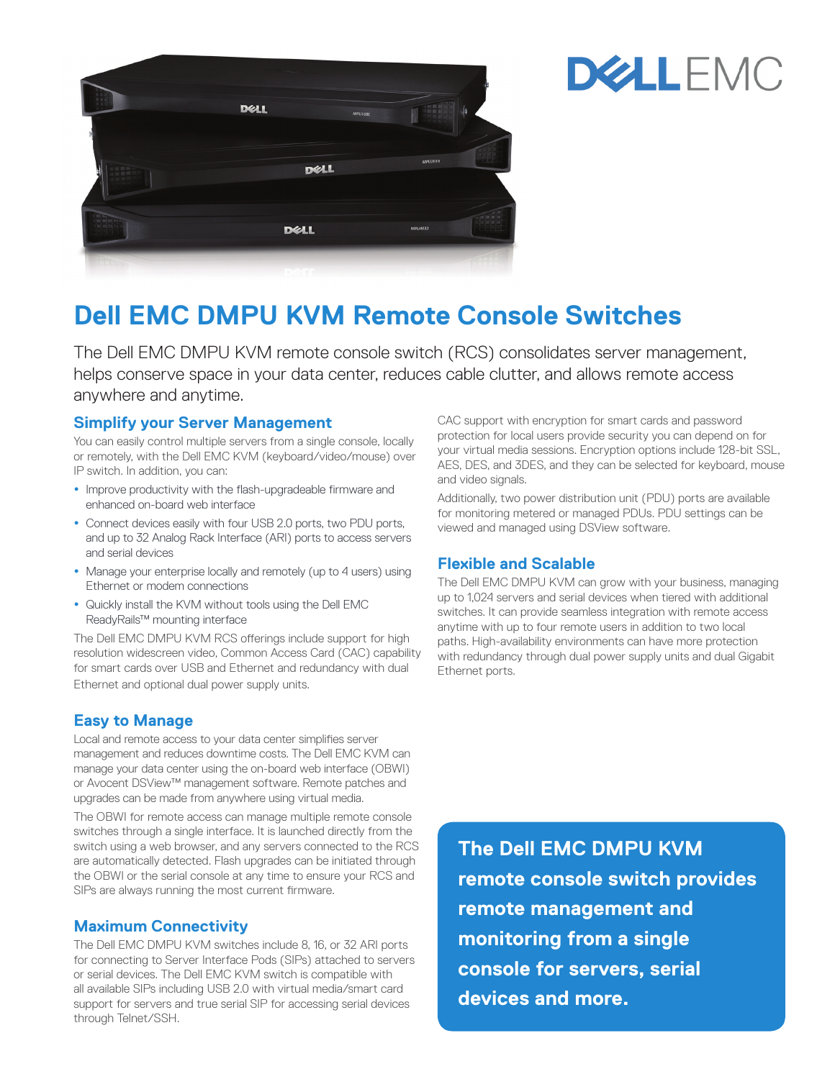



# **Dell EMC DMPU KVM Remote Console Switches**

The Dell EMC DMPU KVM remote console switch (RCS) consolidates server management, helps conserve space in your data center, reduces cable clutter, and allows remote access anywhere and anytime.

#### **Simplify your Server Management**

You can easily control multiple servers from a single console, locally or remotely, with the Dell EMC KVM (keyboard/video/mouse) over IP switch. In addition, you can:

- Improve productivity with the flash-upgradeable firmware and enhanced on-board web interface
- Connect devices easily with four USB 2.0 ports, two PDU ports, and up to 32 Analog Rack Interface (ARI) ports to access servers and serial devices
- Manage your enterprise locally and remotely (up to 4 users) using Ethernet or modem connections
- Quickly install the KVM without tools using the Dell EMC ReadyRails™ mounting interface

The Dell EMC DMPU KVM RCS offerings include support for high resolution widescreen video, Common Access Card (CAC) capability for smart cards over USB and Ethernet and redundancy with dual Ethernet and optional dual power supply units.

## **Easy to Manage**

Local and remote access to your data center simplifies server management and reduces downtime costs. The Dell EMC KVM can manage your data center using the on-board web interface (OBWI) or Avocent DSView™ management software. Remote patches and upgrades can be made from anywhere using virtual media.

The OBWI for remote access can manage multiple remote console switches through a single interface. It is launched directly from the switch using a web browser, and any servers connected to the RCS are automatically detected. Flash upgrades can be initiated through the OBWI or the serial console at any time to ensure your RCS and SIPs are always running the most current firmware.

#### **Maximum Connectivity**

The Dell EMC DMPU KVM switches include 8, 16, or 32 ARI ports for connecting to Server Interface Pods (SIPs) attached to servers or serial devices. The Dell EMC KVM switch is compatible with all available SIPs including USB 2.0 with virtual media/smart card support for servers and true serial SIP for accessing serial devices through Telnet/SSH.

CAC support with encryption for smart cards and password protection for local users provide security you can depend on for your virtual media sessions. Encryption options include 128-bit SSL, AES, DES, and 3DES, and they can be selected for keyboard, mouse and video signals.

Additionally, two power distribution unit (PDU) ports are available for monitoring metered or managed PDUs. PDU settings can be viewed and managed using DSView software.

### **Flexible and Scalable**

The Dell EMC DMPU KVM can grow with your business, managing up to 1,024 servers and serial devices when tiered with additional switches. It can provide seamless integration with remote access anytime with up to four remote users in addition to two local paths. High-availability environments can have more protection with redundancy through dual power supply units and dual Gigabit Ethernet ports.

**The Dell EMC DMPU KVM remote console switch provides remote management and monitoring from a single console for servers, serial devices and more.**